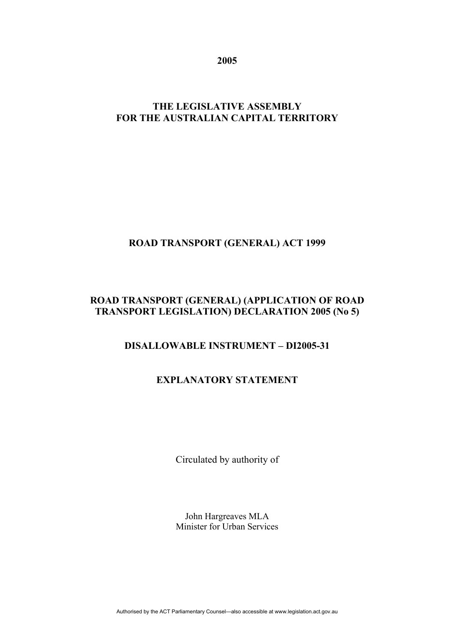**2005** 

## **THE LEGISLATIVE ASSEMBLY FOR THE AUSTRALIAN CAPITAL TERRITORY**

# **ROAD TRANSPORT (GENERAL) ACT 1999**

## **ROAD TRANSPORT (GENERAL) (APPLICATION OF ROAD TRANSPORT LEGISLATION) DECLARATION 2005 (No 5)**

## **DISALLOWABLE INSTRUMENT – DI2005-31**

## **EXPLANATORY STATEMENT**

Circulated by authority of

John Hargreaves MLA Minister for Urban Services